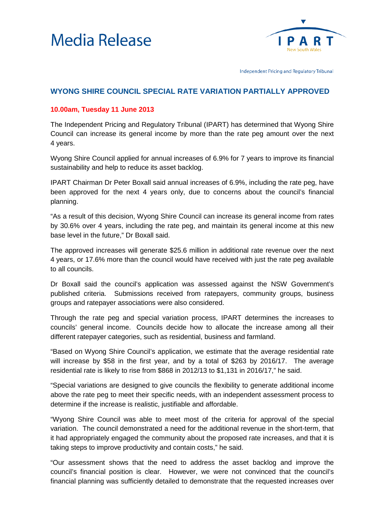



Independent Pricing and Regulatory Tribunal

## **WYONG SHIRE COUNCIL SPECIAL RATE VARIATION PARTIALLY APPROVED**

## **10.00am, Tuesday 11 June 2013**

The Independent Pricing and Regulatory Tribunal (IPART) has determined that Wyong Shire Council can increase its general income by more than the rate peg amount over the next 4 years.

Wyong Shire Council applied for annual increases of 6.9% for 7 years to improve its financial sustainability and help to reduce its asset backlog.

IPART Chairman Dr Peter Boxall said annual increases of 6.9%, including the rate peg, have been approved for the next 4 years only, due to concerns about the council's financial planning.

"As a result of this decision, Wyong Shire Council can increase its general income from rates by 30.6% over 4 years, including the rate peg, and maintain its general income at this new base level in the future," Dr Boxall said.

The approved increases will generate \$25.6 million in additional rate revenue over the next 4 years, or 17.6% more than the council would have received with just the rate peg available to all councils.

Dr Boxall said the council's application was assessed against the NSW Government's published criteria. Submissions received from ratepayers, community groups, business groups and ratepayer associations were also considered.

Through the rate peg and special variation process, IPART determines the increases to councils' general income. Councils decide how to allocate the increase among all their different ratepayer categories, such as residential, business and farmland.

"Based on Wyong Shire Council's application, we estimate that the average residential rate will increase by \$58 in the first year, and by a total of \$263 by 2016/17. The average residential rate is likely to rise from \$868 in 2012/13 to \$1,131 in 2016/17," he said.

"Special variations are designed to give councils the flexibility to generate additional income above the rate peg to meet their specific needs, with an independent assessment process to determine if the increase is realistic, justifiable and affordable.

"Wyong Shire Council was able to meet most of the criteria for approval of the special variation. The council demonstrated a need for the additional revenue in the short-term, that it had appropriately engaged the community about the proposed rate increases, and that it is taking steps to improve productivity and contain costs," he said.

"Our assessment shows that the need to address the asset backlog and improve the council's financial position is clear. However, we were not convinced that the council's financial planning was sufficiently detailed to demonstrate that the requested increases over